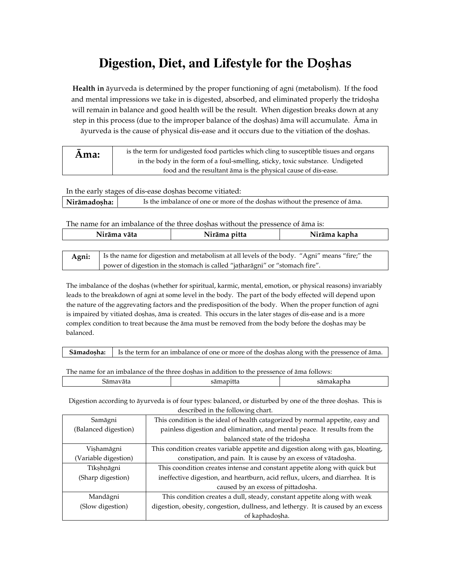## **Digestion, Diet, and Lifestyle for the Doshas**

Health in äyurveda is determined by the proper functioning of agni (metabolism). If the food and mental impressions we take in is digested, absorbed, and eliminated properly the tridosha will remain in balance and good health will be the result. When digestion breaks down at any step in this process (due to the improper balance of the doshas) āma will accumulate. Āma in āyurveda is the cause of physical dis-ease and it occurs due to the vitiation of the doshas.

| Ama: | is the term for undigested food particles which cling to susceptible tisues and organs<br>in the body in the form of a foul-smelling, sticky, toxic substance. Undigeted |
|------|--------------------------------------------------------------------------------------------------------------------------------------------------------------------------|
|      | food and the resultant ama is the physical cause of dis-ease.                                                                                                            |

In the early stages of dis-ease doshas become vitiated:

| Nirāmadosha: | Is the imbalance of one or more of the doshas without the presence of āma. |
|--------------|----------------------------------------------------------------------------|
|              |                                                                            |

The name for an imbalance of the three doshas without the pressence of āma is:

| Nirāma vāta | Nirāma pitta | Nirāma kapha |
|-------------|--------------|--------------|
|             |              |              |
|             |              |              |

| Agni:   Is the name for digestion and metabolism at all levels of the body. "Agni" means "fire;" the |
|------------------------------------------------------------------------------------------------------|
| power of digestion in the stomach is called "jatharagni" or "stomach fire".                          |

The imbalance of the doshas (whether for spiritual, karmic, mental, emotion, or physical reasons) invariably leads to the breakdown of agni at some level in the body. The part of the body effected will depend upon the nature of the aggrevating factors and the predisposition of the body. When the proper function of agni is impaired by vitiated doshas, āma is created. This occurs in the later stages of dis-ease and is a more complex condition to treat because the āma must be removed from the body before the doshas may be balanced.

The name for an imbalance of the three doshas in addition to the pressence of āma follows:

| . .<br>. | __ |
|----------|----|
|          |    |

Digestion according to āyurveda is of four types: balanced, or disturbed by one of the three doshas. This is described in the following chart.

| This condition is the ideal of health catagorized by normal appetite, easy and<br>Samāgni             |                                                                                  |  |  |
|-------------------------------------------------------------------------------------------------------|----------------------------------------------------------------------------------|--|--|
| painless digestion and elimination, and mental peace. It results from the<br>(Balanced digestion)     |                                                                                  |  |  |
|                                                                                                       | balanced state of the tridosha                                                   |  |  |
| Vishamāgni                                                                                            | This condition creates variable appetite and digestion along with gas, bloating, |  |  |
| constipation, and pain. It is cause by an excess of vātadosha.<br>(Variable digestion)                |                                                                                  |  |  |
| Tīkshnāgni                                                                                            | This coondition creates intense and constant appetite along with quick but       |  |  |
| ineffective digestion, and heartburn, acid reflux, ulcers, and diarrhea. It is<br>(Sharp digestion)   |                                                                                  |  |  |
|                                                                                                       | caused by an excess of pittadosha.                                               |  |  |
| Mandāgni                                                                                              | This condition creates a dull, steady, constant appetite along with weak         |  |  |
| digestion, obesity, congestion, dullness, and lethergy. It is caused by an excess<br>(Slow digestion) |                                                                                  |  |  |
|                                                                                                       | of kaphadosha.                                                                   |  |  |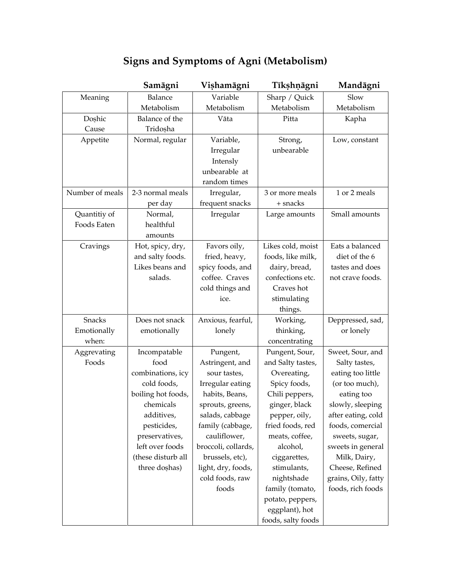|                             | Samāgni                              | Vishamāgni                    | Tīkṣhṇāgni         | Mandāgni            |
|-----------------------------|--------------------------------------|-------------------------------|--------------------|---------------------|
| Meaning                     | Balance                              | Variable                      | Sharp / Quick      | Slow                |
|                             | Metabolism                           | Metabolism                    | Metabolism         | Metabolism          |
| Doshic                      | Balance of the                       | Vāta                          | Pitta              | Kapha               |
| Cause                       | Tridosha                             |                               |                    |                     |
| Appetite                    | Normal, regular                      | Variable,                     | Strong,            | Low, constant       |
|                             |                                      | Irregular                     | unbearable         |                     |
|                             |                                      | Intensly<br>unbearable at     |                    |                     |
|                             |                                      | random times                  |                    |                     |
| Number of meals             | 2-3 normal meals                     |                               | 3 or more meals    | 1 or 2 meals        |
|                             |                                      | Irregular,                    |                    |                     |
|                             | per day                              | frequent snacks               | + snacks           |                     |
| Quantitiy of<br>Foods Eaten | Normal,<br>healthful                 | Irregular                     | Large amounts      | Small amounts       |
|                             |                                      |                               |                    |                     |
| Cravings                    | amounts                              |                               | Likes cold, moist  | Eats a balanced     |
|                             | Hot, spicy, dry,<br>and salty foods. | Favors oily,<br>fried, heavy, | foods, like milk,  | diet of the 6       |
|                             | Likes beans and                      | spicy foods, and              | dairy, bread,      | tastes and does     |
|                             | salads.                              | coffee. Craves                | confections etc.   | not crave foods.    |
|                             |                                      | cold things and               | Craves hot         |                     |
|                             |                                      | ice.                          | stimulating        |                     |
|                             |                                      |                               | things.            |                     |
| <b>Snacks</b>               | Does not snack                       | Anxious, fearful,             | Working,           | Deppressed, sad,    |
| Emotionally                 | emotionally                          | lonely                        | thinking,          | or lonely           |
| when:                       |                                      |                               | concentrating      |                     |
| Aggrevating                 | Incompatable                         | Pungent,                      | Pungent, Sour,     | Sweet, Sour, and    |
| Foods                       | food                                 | Astringent, and               | and Salty tastes,  | Salty tastes,       |
|                             | combinations, icy                    | sour tastes,                  | Overeating,        | eating too little   |
|                             | cold foods,                          | Irregular eating              | Spicy foods,       | (or too much),      |
|                             | boiling hot foods,                   | habits, Beans,                | Chili peppers,     | eating too          |
|                             | chemicals                            | sprouts, greens,              | ginger, black      | slowly, sleeping    |
|                             | additives,                           | salads, cabbage               | pepper, oily,      | after eating, cold  |
|                             | pesticides,                          | family (cabbage,              | fried foods, red   | foods, comercial    |
|                             | preservatives,                       | cauliflower,                  | meats, coffee,     | sweets, sugar,      |
|                             | left over foods                      | broccoli, collards,           | alcohol,           | sweets in general   |
|                             | (these disturb all                   | brussels, etc),               | ciggarettes,       | Milk, Dairy,        |
|                             | three doshas)                        | light, dry, foods,            | stimulants,        | Cheese, Refined     |
|                             |                                      | cold foods, raw               | nightshade         | grains, Oily, fatty |
|                             |                                      | foods                         | family (tomato,    | foods, rich foods   |
|                             |                                      |                               | potato, peppers,   |                     |
|                             |                                      |                               | eggplant), hot     |                     |
|                             |                                      |                               | foods, salty foods |                     |

## Signs and Symptoms of Agni (Metabolism)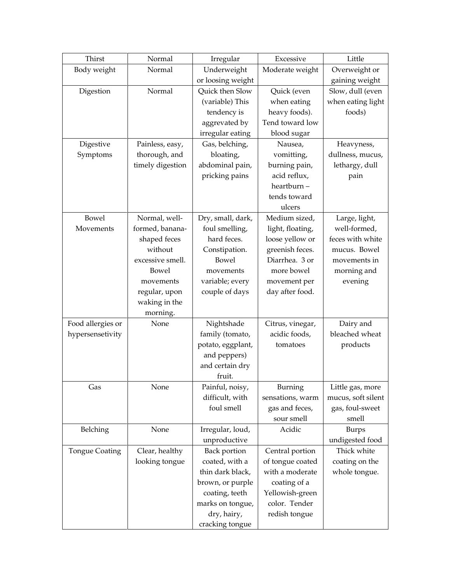| Thirst                | Normal           | Irregular         | Excessive        | Little             |
|-----------------------|------------------|-------------------|------------------|--------------------|
| Body weight           | Normal           | Underweight       | Moderate weight  | Overweight or      |
|                       |                  | or loosing weight |                  | gaining weight     |
| Digestion             | Normal           | Quick then Slow   | Quick (even      | Slow, dull (even   |
|                       |                  | (variable) This   | when eating      | when eating light  |
|                       |                  | tendency is       | heavy foods).    | foods)             |
|                       |                  | aggrevated by     | Tend toward low  |                    |
|                       |                  | irregular eating  | blood sugar      |                    |
| Digestive             | Painless, easy,  | Gas, belching,    | Nausea,          | Heavyness,         |
| Symptoms              | thorough, and    | bloating,         | vomitting,       | dullness, mucus,   |
|                       | timely digestion | abdominal pain,   | burning pain,    | lethargy, dull     |
|                       |                  | pricking pains    | acid reflux,     | pain               |
|                       |                  |                   | heartburn-       |                    |
|                       |                  |                   | tends toward     |                    |
|                       |                  |                   | ulcers           |                    |
| Bowel                 | Normal, well-    | Dry, small, dark, | Medium sized,    | Large, light,      |
| Movements             | formed, banana-  | foul smelling,    | light, floating, | well-formed,       |
|                       | shaped feces     | hard feces.       | loose yellow or  | feces with white   |
|                       | without          | Constipation.     | greenish feces.  | mucus. Bowel       |
|                       | excessive smell. | Bowel             | Diarrhea. 3 or   | movements in       |
|                       | Bowel            | movements         | more bowel       | morning and        |
|                       | movements        | variable; every   | movement per     | evening            |
|                       | regular, upon    | couple of days    | day after food.  |                    |
|                       | waking in the    |                   |                  |                    |
|                       | morning.         |                   |                  |                    |
| Food allergies or     | None             | Nightshade        | Citrus, vinegar, | Dairy and          |
| hypersensetivity      |                  | family (tomato,   | acidic foods,    | bleached wheat     |
|                       |                  | potato, eggplant, | tomatoes         | products           |
|                       |                  | and peppers)      |                  |                    |
|                       |                  | and certain dry   |                  |                    |
|                       |                  | fruit.            |                  |                    |
| Gas                   | None             | Painful, noisy,   | Burning          | Little gas, more   |
|                       |                  | difficult, with   | sensations, warm | mucus, soft silent |
|                       |                  | foul smell        | gas and feces,   | gas, foul-sweet    |
|                       |                  |                   | sour smell       | smell              |
| Belching              | None             | Irregular, loud,  | Acidic           | <b>Burps</b>       |
|                       |                  | unproductive      |                  | undigested food    |
| <b>Tongue Coating</b> | Clear, healthy   | Back portion      | Central portion  | Thick white        |
|                       | looking tongue   | coated, with a    | of tongue coated | coating on the     |
|                       |                  | thin dark black,  | with a moderate  | whole tongue.      |
|                       |                  | brown, or purple  | coating of a     |                    |
|                       |                  | coating, teeth    | Yellowish-green  |                    |
|                       |                  | marks on tongue,  | color. Tender    |                    |
|                       |                  | dry, hairy,       | redish tongue    |                    |
|                       |                  | cracking tongue   |                  |                    |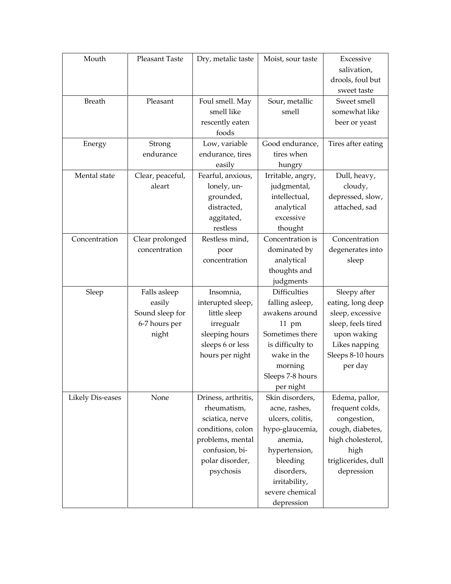| Mouth                   | <b>Pleasant Taste</b> | Dry, metalic taste  | Moist, sour taste   | Excessive           |
|-------------------------|-----------------------|---------------------|---------------------|---------------------|
|                         |                       |                     |                     | salivation,         |
|                         |                       |                     |                     | drools, foul but    |
|                         |                       |                     |                     | sweet taste         |
| <b>Breath</b>           | Pleasant              | Foul smell. May     | Sour, metallic      | Sweet smell         |
|                         |                       | smell like          | smell               | somewhat like       |
|                         |                       | rescently eaten     |                     | beer or yeast       |
|                         |                       | foods               |                     |                     |
| Energy                  | Strong                | Low, variable       | Good endurance,     | Tires after eating  |
|                         | endurance             | endurance, tires    | tires when          |                     |
|                         |                       | easily              | hungry              |                     |
| Mental state            | Clear, peaceful,      | Fearful, anxious,   | Irritable, angry,   | Dull, heavy,        |
|                         | aleart                | lonely, un-         | judgmental,         | cloudy,             |
|                         |                       | grounded,           | intellectual,       | depressed, slow,    |
|                         |                       | distracted,         | analytical          | attached, sad       |
|                         |                       | aggitated,          | excessive           |                     |
|                         |                       | restless            | thought             |                     |
| Concentration           | Clear prolonged       | Restless mind,      | Concentration is    | Concentration       |
|                         | concentration         | poor                | dominated by        | degenerates into    |
|                         |                       | concentration       | analytical          | sleep               |
|                         |                       |                     | thoughts and        |                     |
|                         |                       |                     | judgments           |                     |
| Sleep                   | Falls asleep          | Insomnia,           | <b>Difficulties</b> | Sleepy after        |
|                         | easily                | interupted sleep,   | falling asleep,     | eating, long deep   |
|                         | Sound sleep for       | little sleep        | awakens around      | sleep, excessive    |
|                         | 6-7 hours per         | irregualr           | 11 pm               | sleep, feels tired  |
|                         | night                 | sleeping hours      | Sometimes there     | upon waking         |
|                         |                       | sleeps 6 or less    | is difficulty to    | Likes napping       |
|                         |                       | hours per night     | wake in the         | Sleeps 8-10 hours   |
|                         |                       |                     | morning             | per day             |
|                         |                       |                     | Sleeps 7-8 hours    |                     |
|                         |                       |                     | per night           |                     |
| <b>Likely Dis-eases</b> | None                  | Driness, arthritis, | Skin disorders,     | Edema, pallor,      |
|                         |                       | rheumatism,         | acne, rashes,       | frequent colds,     |
|                         |                       | sciatica, nerve     | ulcers, colitis,    | congestion,         |
|                         |                       | conditions, colon   | hypo-glaucemia,     | cough, diabetes,    |
|                         |                       | problems, mental    | anemia,             | high cholesterol,   |
|                         |                       | confusion, bi-      | hypertension,       | high                |
|                         |                       | polar disorder,     | bleeding            | triglicerides, dull |
|                         |                       | psychosis           | disorders,          | depression          |
|                         |                       |                     | irritability,       |                     |
|                         |                       |                     | severe chemical     |                     |
|                         |                       |                     | depression          |                     |